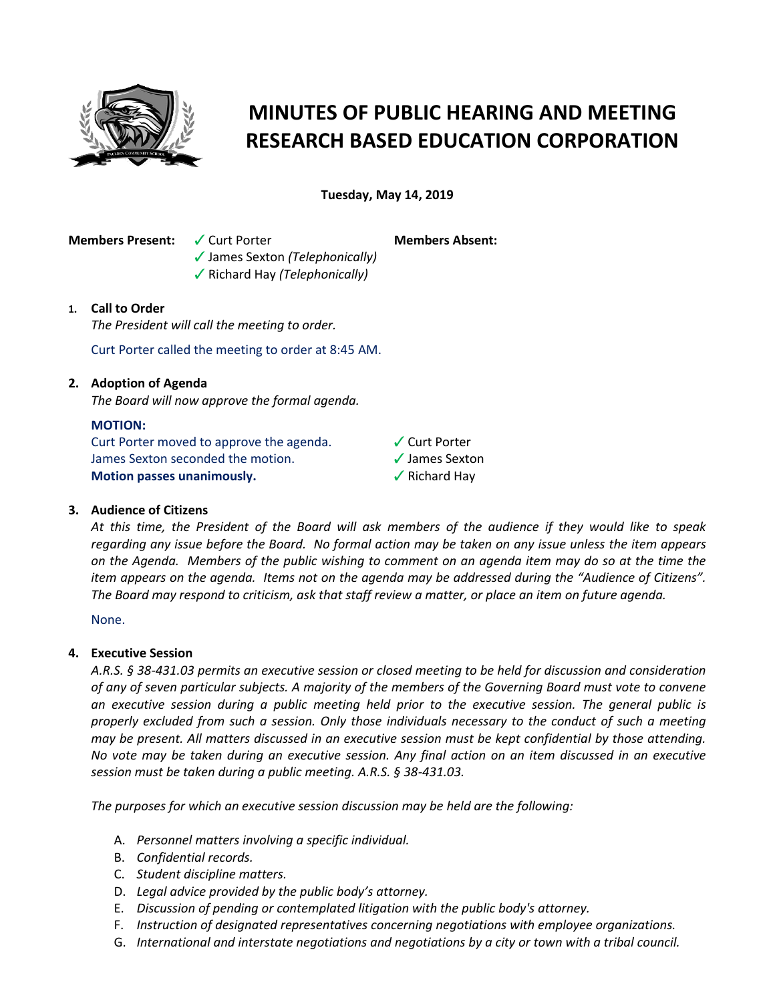

# **MINUTES OF PUBLIC HEARING AND MEETING RESEARCH BASED EDUCATION CORPORATION**

**Tuesday, May 14, 2019**

**Members Present:** V Curt Porter

b James Sexton *(Telephonically)* **√** Richard Hay *(Telephonically)* 

**Members Absent:**

# **1. Call to Order**

*The President will call the meeting to order.*

Curt Porter called the meeting to order at 8:45 AM.

# **2. Adoption of Agenda**

*The Board will now approve the formal agenda.*

### **MOTION:**

Curt Porter moved to approve the agenda. James Sexton seconded the motion. **Motion passes unanimously.**

 $\checkmark$  Curt Porter  $\checkmark$  James Sexton  $\sqrt{\ }$  Richard Hay

## **3. Audience of Citizens**

*At this time, the President of the Board will ask members of the audience if they would like to speak regarding any issue before the Board. No formal action may be taken on any issue unless the item appears on the Agenda. Members of the public wishing to comment on an agenda item may do so at the time the item appears on the agenda. Items not on the agenda may be addressed during the "Audience of Citizens". The Board may respond to criticism, ask that staff review a matter, or place an item on future agenda.*

None.

## **4. Executive Session**

*A.R.S. § 38-431.03 permits an executive session or closed meeting to be held for discussion and consideration of any of seven particular subjects. A majority of the members of the Governing Board must vote to convene an executive session during a public meeting held prior to the executive session. The general public is properly excluded from such a session. Only those individuals necessary to the conduct of such a meeting may be present. All matters discussed in an executive session must be kept confidential by those attending. No vote may be taken during an executive session. Any final action on an item discussed in an executive session must be taken during a public meeting. A.R.S. § 38-431.03.* 

*The purposes for which an executive session discussion may be held are the following:* 

- A. *Personnel matters involving a specific individual.*
- B. *Confidential records.*
- C. *Student discipline matters.*
- D. *Legal advice provided by the public body's attorney.*
- E. *Discussion of pending or contemplated litigation with the public body's attorney.*
- F. *Instruction of designated representatives concerning negotiations with employee organizations.*
- G. *International and interstate negotiations and negotiations by a city or town with a tribal council.*